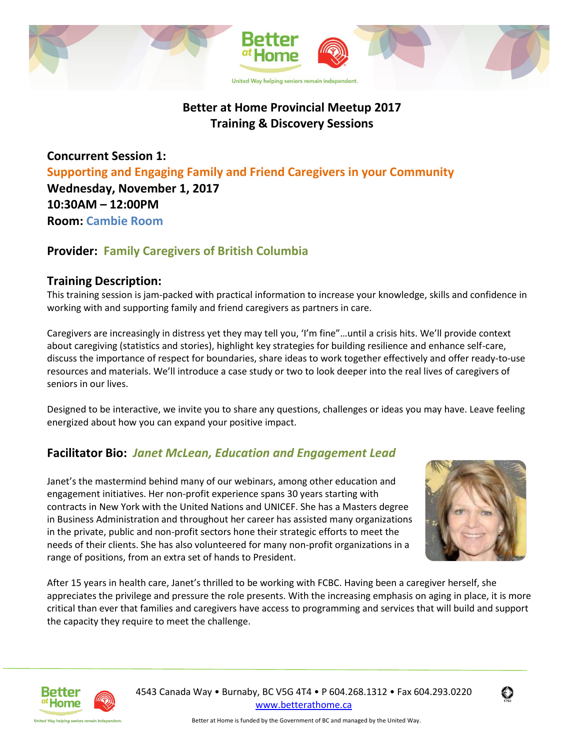

# **Better at Home Provincial Meetup 2017 Training & Discovery Sessions**

**Concurrent Session 1: Supporting and Engaging Family and Friend Caregivers in your Community Wednesday, November 1, 2017 10:30AM – 12:00PM Room: Cambie Room**

## **Provider: Family Caregivers of British Columbia**

### **Training Description:**

This training session is jam-packed with practical information to increase your knowledge, skills and confidence in working with and supporting family and friend caregivers as partners in care.

Caregivers are increasingly in distress yet they may tell you, 'I'm fine"…until a crisis hits. We'll provide context about caregiving (statistics and stories), highlight key strategies for building resilience and enhance self-care, discuss the importance of respect for boundaries, share ideas to work together effectively and offer ready-to-use resources and materials. We'll introduce a case study or two to look deeper into the real lives of caregivers of seniors in our lives.

Designed to be interactive, we invite you to share any questions, challenges or ideas you may have. Leave feeling energized about how you can expand your positive impact.

## **Facilitator Bio:** *Janet McLean, Education and Engagement Lead*

Janet's the mastermind behind many of our webinars, among other education and engagement initiatives. Her non-profit experience spans 30 years starting with contracts in New York with the United Nations and UNICEF. She has a Masters degree in Business Administration and throughout her career has assisted many organizations in the private, public and non-profit sectors hone their strategic efforts to meet the needs of their clients. She has also volunteered for many non-profit organizations in a range of positions, from an extra set of hands to President.



After 15 years in health care, Janet's thrilled to be working with FCBC. Having been a caregiver herself, she appreciates the privilege and pressure the role presents. With the increasing emphasis on aging in place, it is more critical than ever that families and caregivers have access to programming and services that will build and support the capacity they require to meet the challenge.



United Way helping seniors remain independ

 4543 Canada Way • Burnaby, BC V5G 4T4 • P 604.268.1312 • Fax 604.293.0220 [www.betterathome.ca](http://www.betterathome.ca/)

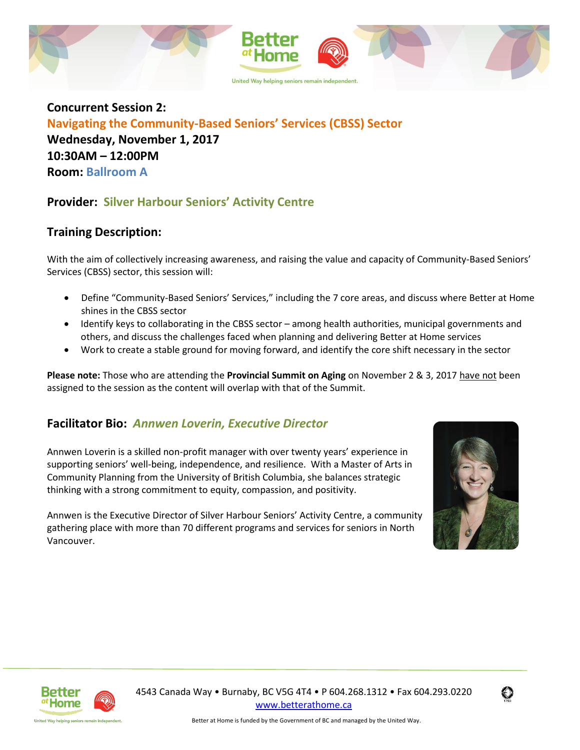

**Concurrent Session 2: Navigating the Community-Based Seniors' Services (CBSS) Sector Wednesday, November 1, 2017 10:30AM – 12:00PM Room: Ballroom A**

## **Provider: Silver Harbour Seniors' Activity Centre**

### **Training Description:**

With the aim of collectively increasing awareness, and raising the value and capacity of Community-Based Seniors' Services (CBSS) sector, this session will:

- Define "Community-Based Seniors' Services," including the 7 core areas, and discuss where Better at Home shines in the CBSS sector
- Identify keys to collaborating in the CBSS sector among health authorities, municipal governments and others, and discuss the challenges faced when planning and delivering Better at Home services
- Work to create a stable ground for moving forward, and identify the core shift necessary in the sector

**Please note:** Those who are attending the **Provincial Summit on Aging** on November 2 & 3, 2017 have not been assigned to the session as the content will overlap with that of the Summit.

## **Facilitator Bio:** *Annwen Loverin, Executive Director*

Annwen Loverin is a skilled non-profit manager with over twenty years' experience in supporting seniors' well-being, independence, and resilience. With a Master of Arts in Community Planning from the University of British Columbia, she balances strategic thinking with a strong commitment to equity, compassion, and positivity.

Annwen is the Executive Director of Silver Harbour Seniors' Activity Centre, a community gathering place with more than 70 different programs and services for seniors in North Vancouver.





United Way helping seniors remain indepe

 4543 Canada Way • Burnaby, BC V5G 4T4 • P 604.268.1312 • Fax 604.293.0220 [www.betterathome.ca](http://www.betterathome.ca/)

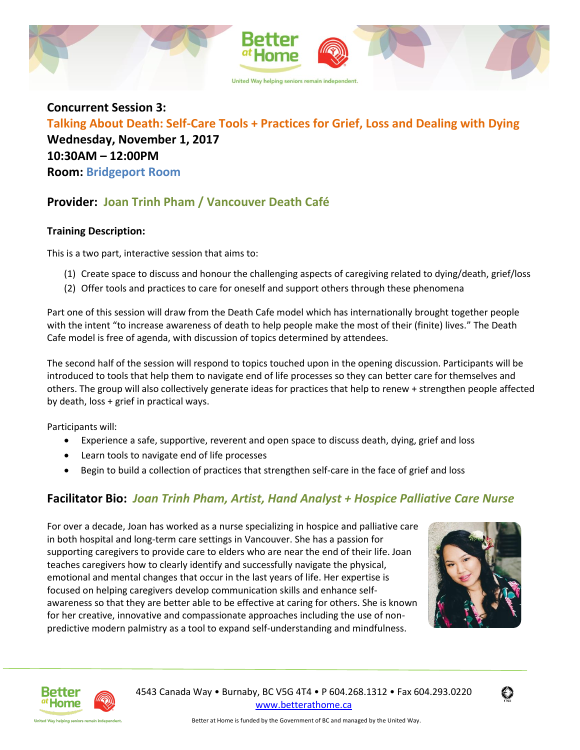

**Concurrent Session 3: Talking About Death: Self-Care Tools + Practices for Grief, Loss and Dealing with Dying Wednesday, November 1, 2017 10:30AM – 12:00PM Room: Bridgeport Room**

## **Provider: Joan Trinh Pham / Vancouver Death Café**

#### **Training Description:**

This is a two part, interactive session that aims to:

- (1) Create space to discuss and honour the challenging aspects of caregiving related to dying/death, grief/loss
- (2) Offer tools and practices to care for oneself and support others through these phenomena

Part one of this session will draw from the Death Cafe model which has internationally brought together people with the intent "to increase awareness of death to help people make the most of their (finite) lives." The Death Cafe model is free of agenda, with discussion of topics determined by attendees.

The second half of the session will respond to topics touched upon in the opening discussion. Participants will be introduced to tools that help them to navigate end of life processes so they can better care for themselves and others. The group will also collectively generate ideas for practices that help to renew + strengthen people affected by death, loss + grief in practical ways.

Participants will:

- Experience a safe, supportive, reverent and open space to discuss death, dying, grief and loss
- Learn tools to navigate end of life processes
- Begin to build a collection of practices that strengthen self-care in the face of grief and loss

## **Facilitator Bio:** *Joan Trinh Pham, Artist, Hand Analyst + Hospice Palliative Care Nurse*

For over a decade, Joan has worked as a nurse specializing in hospice and palliative care in both hospital and long-term care settings in Vancouver. She has a passion for supporting caregivers to provide care to elders who are near the end of their life. Joan teaches caregivers how to clearly identify and successfully navigate the physical, emotional and mental changes that occur in the last years of life. Her expertise is focused on helping caregivers develop communication skills and enhance selfawareness so that they are better able to be effective at caring for others. She is known for her creative, innovative and compassionate approaches including the use of nonpredictive modern palmistry as a tool to expand self-understanding and mindfulness.





United Way helping seniors remain independ